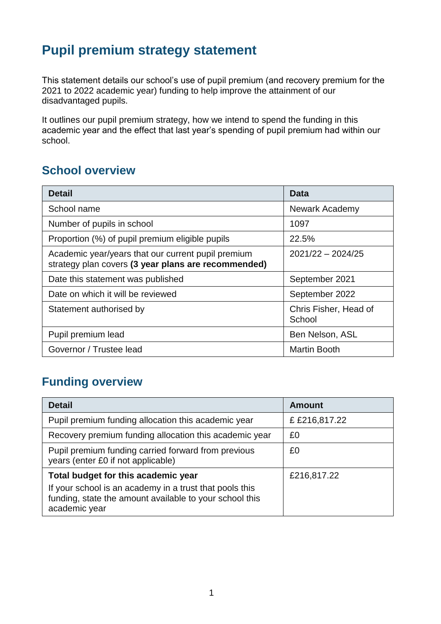# **Pupil premium strategy statement**

This statement details our school's use of pupil premium (and recovery premium for the 2021 to 2022 academic year) funding to help improve the attainment of our disadvantaged pupils.

It outlines our pupil premium strategy, how we intend to spend the funding in this academic year and the effect that last year's spending of pupil premium had within our school.

### **School overview**

| <b>Detail</b>                                                                                             | Data                            |
|-----------------------------------------------------------------------------------------------------------|---------------------------------|
| School name                                                                                               | <b>Newark Academy</b>           |
| Number of pupils in school                                                                                | 1097                            |
| Proportion (%) of pupil premium eligible pupils                                                           | 22.5%                           |
| Academic year/years that our current pupil premium<br>strategy plan covers (3 year plans are recommended) | $2021/22 - 2024/25$             |
| Date this statement was published                                                                         | September 2021                  |
| Date on which it will be reviewed                                                                         | September 2022                  |
| Statement authorised by                                                                                   | Chris Fisher, Head of<br>School |
| Pupil premium lead                                                                                        | Ben Nelson, ASL                 |
| Governor / Trustee lead                                                                                   | <b>Martin Booth</b>             |

## **Funding overview**

| <b>Detail</b>                                                                                                                       | <b>Amount</b> |
|-------------------------------------------------------------------------------------------------------------------------------------|---------------|
| Pupil premium funding allocation this academic year                                                                                 | £ £216,817.22 |
| Recovery premium funding allocation this academic year                                                                              | £0            |
| Pupil premium funding carried forward from previous<br>years (enter £0 if not applicable)                                           | £0            |
| Total budget for this academic year                                                                                                 | £216,817.22   |
| If your school is an academy in a trust that pools this<br>funding, state the amount available to your school this<br>academic year |               |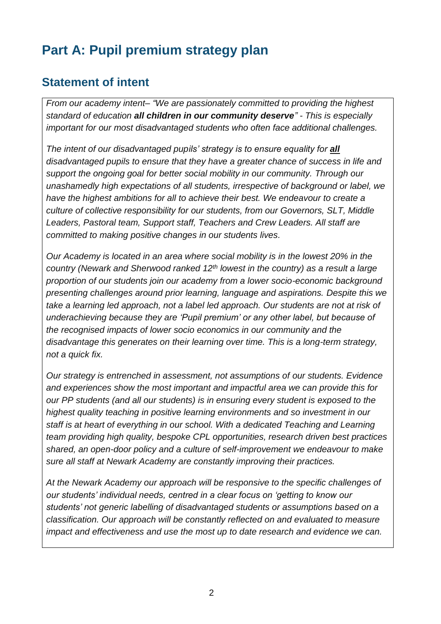# **Part A: Pupil premium strategy plan**

### **Statement of intent**

*From our academy intent– "We are passionately committed to providing the highest standard of education all children in our community deserve" - This is especially important for our most disadvantaged students who often face additional challenges.*

The intent of our disadvantaged pupils' strategy is to ensure equality for all *disadvantaged pupils to ensure that they have a greater chance of success in life and support the ongoing goal for better social mobility in our community. Through our unashamedly high expectations of all students, irrespective of background or label, we have the highest ambitions for all to achieve their best. We endeavour to create a culture of collective responsibility for our students, from our Governors, SLT, Middle Leaders, Pastoral team, Support staff, Teachers and Crew Leaders. All staff are committed to making positive changes in our students lives.*

*Our Academy is located in an area where social mobility is in the lowest 20% in the country (Newark and Sherwood ranked 12th lowest in the country) as a result a large proportion of our students join our academy from a lower socio-economic background presenting challenges around prior learning, language and aspirations. Despite this we take a learning led approach, not a label led approach. Our students are not at risk of underachieving because they are 'Pupil premium' or any other label, but because of the recognised impacts of lower socio economics in our community and the disadvantage this generates on their learning over time. This is a long-term strategy, not a quick fix.*

*Our strategy is entrenched in assessment, not assumptions of our students. Evidence and experiences show the most important and impactful area we can provide this for our PP students (and all our students) is in ensuring every student is exposed to the highest quality teaching in positive learning environments and so investment in our staff is at heart of everything in our school. With a dedicated Teaching and Learning team providing high quality, bespoke CPL opportunities, research driven best practices shared, an open-door policy and a culture of self-improvement we endeavour to make sure all staff at Newark Academy are constantly improving their practices.*

*At the Newark Academy our approach will be responsive to the specific challenges of our students' individual needs, centred in a clear focus on 'getting to know our students' not generic labelling of disadvantaged students or assumptions based on a classification. Our approach will be constantly reflected on and evaluated to measure impact and effectiveness and use the most up to date research and evidence we can.*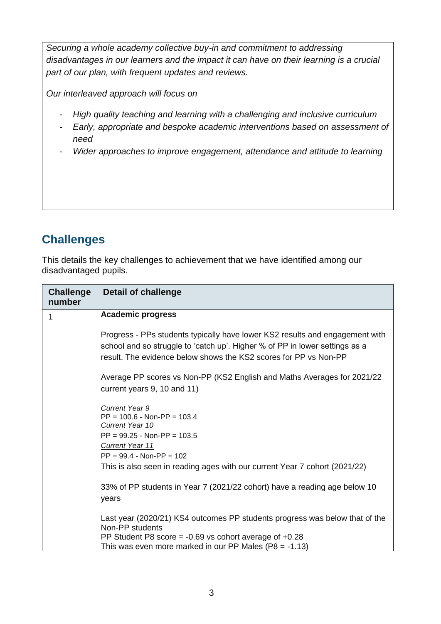*Securing a whole academy collective buy-in and commitment to addressing disadvantages in our learners and the impact it can have on their learning is a crucial part of our plan, with frequent updates and reviews.*

*Our interleaved approach will focus on*

- *High quality teaching and learning with a challenging and inclusive curriculum*
- *Early, appropriate and bespoke academic interventions based on assessment of need*
- *Wider approaches to improve engagement, attendance and attitude to learning*

## **Challenges**

This details the key challenges to achievement that we have identified among our disadvantaged pupils.

| <b>Challenge</b><br>number | <b>Detail of challenge</b>                                                                                                                                                                                                      |
|----------------------------|---------------------------------------------------------------------------------------------------------------------------------------------------------------------------------------------------------------------------------|
| 1                          | <b>Academic progress</b>                                                                                                                                                                                                        |
|                            | Progress - PPs students typically have lower KS2 results and engagement with<br>school and so struggle to 'catch up'. Higher % of PP in lower settings as a<br>result. The evidence below shows the KS2 scores for PP vs Non-PP |
|                            | Average PP scores vs Non-PP (KS2 English and Maths Averages for 2021/22<br>current years 9, 10 and 11)                                                                                                                          |
|                            | <b>Current Year 9</b><br>$PP = 100.6 - Non-PP = 103.4$<br>Current Year 10                                                                                                                                                       |
|                            | $PP = 99.25 - Non-PP = 103.5$                                                                                                                                                                                                   |
|                            | <b>Current Year 11</b><br>$PP = 99.4 - Non-PP = 102$                                                                                                                                                                            |
|                            | This is also seen in reading ages with our current Year 7 cohort (2021/22)                                                                                                                                                      |
|                            | 33% of PP students in Year 7 (2021/22 cohort) have a reading age below 10<br>years                                                                                                                                              |
|                            | Last year (2020/21) KS4 outcomes PP students progress was below that of the<br>Non-PP students                                                                                                                                  |
|                            | PP Student P8 score = $-0.69$ vs cohort average of $+0.28$<br>This was even more marked in our PP Males (P8 = $-1.13$ )                                                                                                         |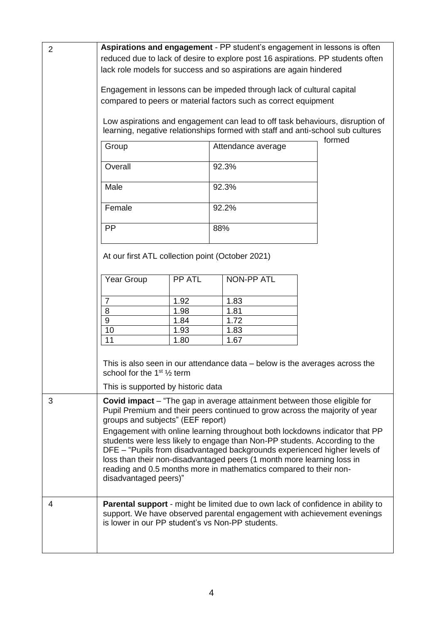| $\overline{2}$ | Aspirations and engagement - PP student's engagement in lessons is often<br>reduced due to lack of desire to explore post 16 aspirations. PP students often<br>lack role models for success and so aspirations are again hindered                                                                                                                                |        |  |                                                                                                                                                                   |  |  |
|----------------|------------------------------------------------------------------------------------------------------------------------------------------------------------------------------------------------------------------------------------------------------------------------------------------------------------------------------------------------------------------|--------|--|-------------------------------------------------------------------------------------------------------------------------------------------------------------------|--|--|
|                | Engagement in lessons can be impeded through lack of cultural capital<br>compared to peers or material factors such as correct equipment                                                                                                                                                                                                                         |        |  |                                                                                                                                                                   |  |  |
|                | Low aspirations and engagement can lead to off task behaviours, disruption of<br>learning, negative relationships formed with staff and anti-school sub cultures                                                                                                                                                                                                 |        |  | formed                                                                                                                                                            |  |  |
|                | Group                                                                                                                                                                                                                                                                                                                                                            |        |  | Attendance average                                                                                                                                                |  |  |
|                | Overall                                                                                                                                                                                                                                                                                                                                                          |        |  | 92.3%                                                                                                                                                             |  |  |
|                | Male                                                                                                                                                                                                                                                                                                                                                             |        |  | 92.3%                                                                                                                                                             |  |  |
|                | Female                                                                                                                                                                                                                                                                                                                                                           |        |  | 92.2%                                                                                                                                                             |  |  |
|                | <b>PP</b>                                                                                                                                                                                                                                                                                                                                                        |        |  | 88%                                                                                                                                                               |  |  |
|                | At our first ATL collection point (October 2021)                                                                                                                                                                                                                                                                                                                 |        |  |                                                                                                                                                                   |  |  |
|                | Year Group                                                                                                                                                                                                                                                                                                                                                       | PP ATL |  | <b>NON-PP ATL</b>                                                                                                                                                 |  |  |
|                | $\overline{7}$                                                                                                                                                                                                                                                                                                                                                   | 1.92   |  | 1.83                                                                                                                                                              |  |  |
|                | 8                                                                                                                                                                                                                                                                                                                                                                | 1.98   |  | 1.81                                                                                                                                                              |  |  |
|                | 9                                                                                                                                                                                                                                                                                                                                                                | 1.84   |  | 1.72                                                                                                                                                              |  |  |
|                | 10                                                                                                                                                                                                                                                                                                                                                               | 1.93   |  | 1.83                                                                                                                                                              |  |  |
|                | 11                                                                                                                                                                                                                                                                                                                                                               | 1.80   |  | 1.67                                                                                                                                                              |  |  |
|                |                                                                                                                                                                                                                                                                                                                                                                  |        |  |                                                                                                                                                                   |  |  |
|                | school for the 1 <sup>st</sup> $\frac{1}{2}$ term                                                                                                                                                                                                                                                                                                                |        |  | This is also seen in our attendance data - below is the averages across the                                                                                       |  |  |
|                | This is supported by historic data                                                                                                                                                                                                                                                                                                                               |        |  |                                                                                                                                                                   |  |  |
| 3              | <b>Covid impact</b> – "The gap in average attainment between those eligible for<br>Pupil Premium and their peers continued to grow across the majority of year<br>groups and subjects" (EEF report)<br>Engagement with online learning throughout both lockdowns indicator that PP<br>students were less likely to engage than Non-PP students. According to the |        |  |                                                                                                                                                                   |  |  |
|                | DFE - "Pupils from disadvantaged backgrounds experienced higher levels of<br>loss than their non-disadvantaged peers (1 month more learning loss in<br>reading and 0.5 months more in mathematics compared to their non-<br>disadvantaged peers)"                                                                                                                |        |  |                                                                                                                                                                   |  |  |
| 4              | is lower in our PP student's vs Non-PP students.                                                                                                                                                                                                                                                                                                                 |        |  | <b>Parental support</b> - might be limited due to own lack of confidence in ability to<br>support. We have observed parental engagement with achievement evenings |  |  |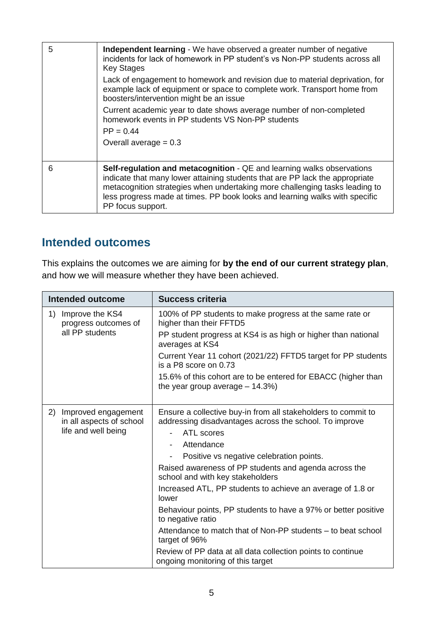| 5 | Independent learning - We have observed a greater number of negative<br>incidents for lack of homework in PP student's vs Non-PP students across all<br><b>Key Stages</b><br>Lack of engagement to homework and revision due to material deprivation, for<br>example lack of equipment or space to complete work. Transport home from<br>boosters/intervention might be an issue |
|---|----------------------------------------------------------------------------------------------------------------------------------------------------------------------------------------------------------------------------------------------------------------------------------------------------------------------------------------------------------------------------------|
|   | Current academic year to date shows average number of non-completed<br>homework events in PP students VS Non-PP students<br>$PP = 0.44$<br>Overall average $= 0.3$                                                                                                                                                                                                               |
| 6 | Self-regulation and metacognition - QE and learning walks observations<br>indicate that many lower attaining students that are PP lack the appropriate                                                                                                                                                                                                                           |
|   | metacognition strategies when undertaking more challenging tasks leading to<br>less progress made at times. PP book looks and learning walks with specific<br>PP focus support.                                                                                                                                                                                                  |

## **Intended outcomes**

This explains the outcomes we are aiming for **by the end of our current strategy plan**, and how we will measure whether they have been achieved.

| <b>Intended outcome</b>                                                      | <b>Success criteria</b>                                                                                                                                        |
|------------------------------------------------------------------------------|----------------------------------------------------------------------------------------------------------------------------------------------------------------|
| Improve the KS4<br>1)<br>progress outcomes of                                | 100% of PP students to make progress at the same rate or<br>higher than their FFTD5                                                                            |
| all PP students                                                              | PP student progress at KS4 is as high or higher than national<br>averages at KS4                                                                               |
|                                                                              | Current Year 11 cohort (2021/22) FFTD5 target for PP students<br>is a P8 score on 0.73                                                                         |
|                                                                              | 15.6% of this cohort are to be entered for EBACC (higher than<br>the year group average $-14.3\%$ )                                                            |
| 2)<br>Improved engagement<br>in all aspects of school<br>life and well being | Ensure a collective buy-in from all stakeholders to commit to<br>addressing disadvantages across the school. To improve<br><b>ATL</b> scores<br>$\blacksquare$ |
|                                                                              | Attendance<br>$\blacksquare$                                                                                                                                   |
|                                                                              | Positive vs negative celebration points.                                                                                                                       |
|                                                                              | Raised awareness of PP students and agenda across the<br>school and with key stakeholders                                                                      |
|                                                                              | Increased ATL, PP students to achieve an average of 1.8 or<br>lower                                                                                            |
|                                                                              | Behaviour points, PP students to have a 97% or better positive<br>to negative ratio                                                                            |
|                                                                              | Attendance to match that of Non-PP students – to beat school<br>target of 96%                                                                                  |
|                                                                              | Review of PP data at all data collection points to continue<br>ongoing monitoring of this target                                                               |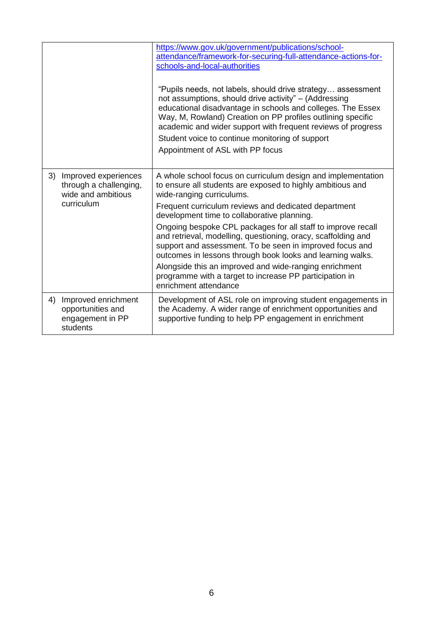|    |                                                                                    | https://www.gov.uk/government/publications/school-<br>attendance/framework-for-securing-full-attendance-actions-for-<br>schools-and-local-authorities<br>"Pupils needs, not labels, should drive strategy assessment<br>not assumptions, should drive activity" - (Addressing<br>educational disadvantage in schools and colleges. The Essex<br>Way, M, Rowland) Creation on PP profiles outlining specific<br>academic and wider support with frequent reviews of progress<br>Student voice to continue monitoring of support<br>Appointment of ASL with PP focus                                                                                                      |
|----|------------------------------------------------------------------------------------|-------------------------------------------------------------------------------------------------------------------------------------------------------------------------------------------------------------------------------------------------------------------------------------------------------------------------------------------------------------------------------------------------------------------------------------------------------------------------------------------------------------------------------------------------------------------------------------------------------------------------------------------------------------------------|
| 3) | Improved experiences<br>through a challenging,<br>wide and ambitious<br>curriculum | A whole school focus on curriculum design and implementation<br>to ensure all students are exposed to highly ambitious and<br>wide-ranging curriculums.<br>Frequent curriculum reviews and dedicated department<br>development time to collaborative planning.<br>Ongoing bespoke CPL packages for all staff to improve recall<br>and retrieval, modelling, questioning, oracy, scaffolding and<br>support and assessment. To be seen in improved focus and<br>outcomes in lessons through book looks and learning walks.<br>Alongside this an improved and wide-ranging enrichment<br>programme with a target to increase PP participation in<br>enrichment attendance |
| 4) | Improved enrichment<br>opportunities and<br>engagement in PP<br>students           | Development of ASL role on improving student engagements in<br>the Academy. A wider range of enrichment opportunities and<br>supportive funding to help PP engagement in enrichment                                                                                                                                                                                                                                                                                                                                                                                                                                                                                     |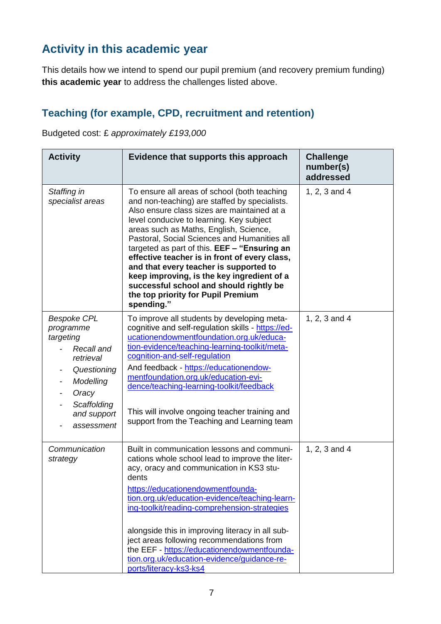# **Activity in this academic year**

This details how we intend to spend our pupil premium (and recovery premium funding) **this academic year** to address the challenges listed above.

#### **Teaching (for example, CPD, recruitment and retention)**

Budgeted cost: £ *approximately £193,000*

| <b>Activity</b>                                                                                                                                          | Evidence that supports this approach                                                                                                                                                                                                                                                                                                                                                                                                                                                                                                                                       | <b>Challenge</b><br>number(s)<br>addressed |
|----------------------------------------------------------------------------------------------------------------------------------------------------------|----------------------------------------------------------------------------------------------------------------------------------------------------------------------------------------------------------------------------------------------------------------------------------------------------------------------------------------------------------------------------------------------------------------------------------------------------------------------------------------------------------------------------------------------------------------------------|--------------------------------------------|
| Staffing in<br>specialist areas                                                                                                                          | To ensure all areas of school (both teaching<br>and non-teaching) are staffed by specialists.<br>Also ensure class sizes are maintained at a<br>level conducive to learning. Key subject<br>areas such as Maths, English, Science,<br>Pastoral, Social Sciences and Humanities all<br>targeted as part of this. EEF - "Ensuring an<br>effective teacher is in front of every class,<br>and that every teacher is supported to<br>keep improving, is the key ingredient of a<br>successful school and should rightly be<br>the top priority for Pupil Premium<br>spending." | 1, 2, 3 and 4                              |
| <b>Bespoke CPL</b><br>programme<br>targeting<br>Recall and<br>retrieval<br>Questioning<br>Modelling<br>Oracy<br>Scaffolding<br>and support<br>assessment | To improve all students by developing meta-<br>cognitive and self-regulation skills - https://ed-<br>ucationendowmentfoundation.org.uk/educa-<br>tion-evidence/teaching-learning-toolkit/meta-<br>cognition-and-self-regulation<br>And feedback - https://educationendow-<br>mentfoundation.org.uk/education-evi-<br>dence/teaching-learning-toolkit/feedback<br>This will involve ongoing teacher training and<br>support from the Teaching and Learning team                                                                                                             | 1, 2, 3 and 4                              |
| Communication<br>strategy                                                                                                                                | Built in communication lessons and communi-<br>cations whole school lead to improve the liter-<br>acy, oracy and communication in KS3 stu-<br>dents<br>https://educationendowmentfounda-<br>tion.org.uk/education-evidence/teaching-learn-<br>ing-toolkit/reading-comprehension-strategies<br>alongside this in improving literacy in all sub-<br>ject areas following recommendations from<br>the EEF - https://educationendowmentfounda-<br>tion.org.uk/education-evidence/guidance-re-<br>ports/literacy-ks3-ks4                                                        | 1, 2, 3 and 4                              |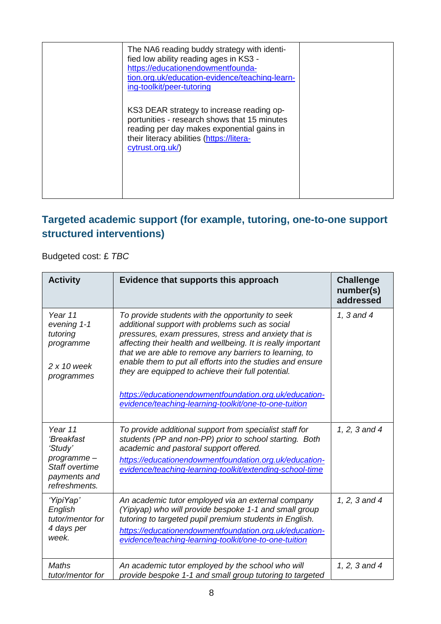| The NA6 reading buddy strategy with identi-<br>fied low ability reading ages in KS3 -<br>https://educationendowmentfounda-<br>tion.org.uk/education-evidence/teaching-learn-<br>ing-toolkit/peer-tutoring |  |
|-----------------------------------------------------------------------------------------------------------------------------------------------------------------------------------------------------------|--|
| KS3 DEAR strategy to increase reading op-<br>portunities - research shows that 15 minutes<br>reading per day makes exponential gains in<br>their literacy abilities (https://litera-<br>cytrust.org.uk/)  |  |

### **Targeted academic support (for example, tutoring, one-to-one support structured interventions)**

Budgeted cost: £ *TBC*

| <b>Activity</b>                                                                                          | Evidence that supports this approach                                                                                                                                                                                                                                                                                                                                                                                                                                                                                           | <b>Challenge</b><br>number(s)<br>addressed |
|----------------------------------------------------------------------------------------------------------|--------------------------------------------------------------------------------------------------------------------------------------------------------------------------------------------------------------------------------------------------------------------------------------------------------------------------------------------------------------------------------------------------------------------------------------------------------------------------------------------------------------------------------|--------------------------------------------|
| Year 11<br>evening 1-1<br>tutoring<br>programme<br>$2x10$ week<br>programmes                             | To provide students with the opportunity to seek<br>additional support with problems such as social<br>pressures, exam pressures, stress and anxiety that is<br>affecting their health and wellbeing. It is really important<br>that we are able to remove any barriers to learning, to<br>enable them to put all efforts into the studies and ensure<br>they are equipped to achieve their full potential.<br>https://educationendowmentfoundation.org.uk/education-<br>evidence/teaching-learning-toolkit/one-to-one-tuition | 1, 3 and 4                                 |
| Year 11<br>'Breakfast<br>'Study'<br>programme-<br><b>Staff overtime</b><br>payments and<br>refreshments. | To provide additional support from specialist staff for<br>students (PP and non-PP) prior to school starting. Both<br>academic and pastoral support offered.<br>https://educationendowmentfoundation.org.uk/education-<br>evidence/teaching-learning-toolkit/extending-school-time                                                                                                                                                                                                                                             | 1, 2, 3 and 4                              |
| 'YipiYap'<br>English<br>tutor/mentor for<br>4 days per<br>week.                                          | An academic tutor employed via an external company<br>(Yipiyap) who will provide bespoke 1-1 and small group<br>tutoring to targeted pupil premium students in English.<br>https://educationendowmentfoundation.org.uk/education-<br>evidence/teaching-learning-toolkit/one-to-one-tuition                                                                                                                                                                                                                                     | 1, 2, 3 and 4                              |
| <b>Maths</b><br>tutor/mentor for                                                                         | An academic tutor employed by the school who will<br>provide bespoke 1-1 and small group tutoring to targeted                                                                                                                                                                                                                                                                                                                                                                                                                  | 1, 2, 3 and 4                              |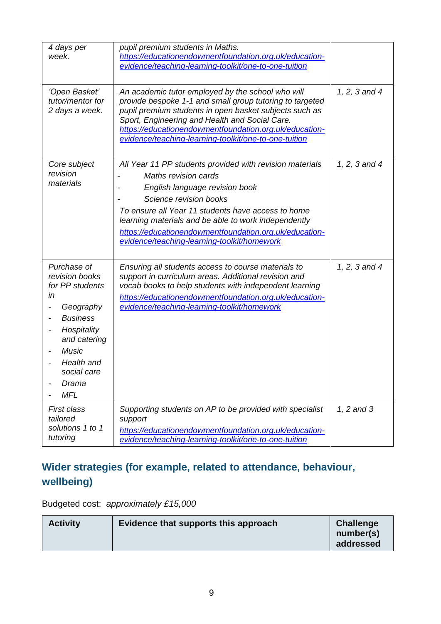| 4 days per<br>week.                                                                                                                                                                       | pupil premium students in Maths.<br>https://educationendowmentfoundation.org.uk/education-<br>evidence/teaching-learning-toolkit/one-to-one-tuition                                                                                                                                                                                                                        |               |
|-------------------------------------------------------------------------------------------------------------------------------------------------------------------------------------------|----------------------------------------------------------------------------------------------------------------------------------------------------------------------------------------------------------------------------------------------------------------------------------------------------------------------------------------------------------------------------|---------------|
| 'Open Basket'<br>tutor/mentor for<br>2 days a week.                                                                                                                                       | An academic tutor employed by the school who will<br>provide bespoke 1-1 and small group tutoring to targeted<br>pupil premium students in open basket subjects such as<br>Sport, Engineering and Health and Social Care.<br>https://educationendowmentfoundation.org.uk/education-<br>evidence/teaching-learning-toolkit/one-to-one-tuition                               | 1, 2, 3 and 4 |
| Core subject<br>revision<br>materials                                                                                                                                                     | All Year 11 PP students provided with revision materials<br><b>Maths revision cards</b><br>English language revision book<br>Science revision books<br>To ensure all Year 11 students have access to home<br>learning materials and be able to work independently<br>https://educationendowmentfoundation.org.uk/education-<br>evidence/teaching-learning-toolkit/homework | 1, 2, 3 and 4 |
| Purchase of<br>revision books<br>for PP students<br>in<br>Geography<br><b>Business</b><br>Hospitality<br>and catering<br><b>Music</b><br>Health and<br>social care<br>Drama<br><b>MFL</b> | Ensuring all students access to course materials to<br>support in curriculum areas. Additional revision and<br>vocab books to help students with independent learning<br>https://educationendowmentfoundation.org.uk/education-<br>evidence/teaching-learning-toolkit/homework                                                                                             | 1, 2, 3 and 4 |
| <b>First class</b><br>tailored<br>solutions 1 to 1<br>tutoring                                                                                                                            | Supporting students on AP to be provided with specialist<br>support<br>https://educationendowmentfoundation.org.uk/education-<br>evidence/teaching-learning-toolkit/one-to-one-tuition                                                                                                                                                                                     | 1, 2 and 3    |

### **Wider strategies (for example, related to attendance, behaviour, wellbeing)**

Budgeted cost: *approximately £15,000*

| <b>Activity</b> | Evidence that supports this approach | <b>Challenge</b><br>number(s)<br>addressed |
|-----------------|--------------------------------------|--------------------------------------------|
|-----------------|--------------------------------------|--------------------------------------------|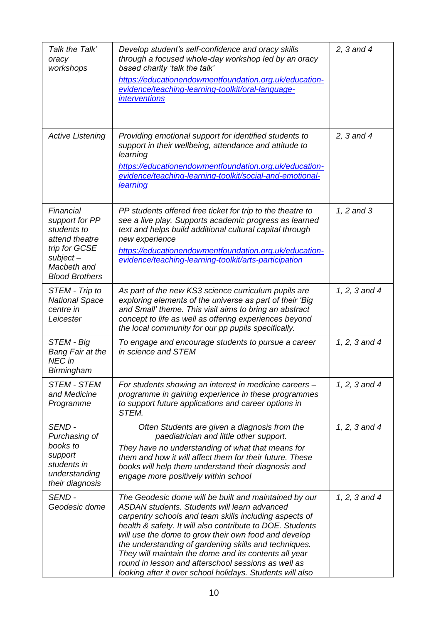| Talk the Talk'<br>oracy<br>workshops                                                                                                 | Develop student's self-confidence and oracy skills<br>through a focused whole-day workshop led by an oracy<br>based charity 'talk the talk'<br>https://educationendowmentfoundation.org.uk/education-<br>evidence/teaching-learning-toolkit/oral-language-<br><i>interventions</i>                                                                                                                                                                                                                                         | 2, $3$ and $4$ |
|--------------------------------------------------------------------------------------------------------------------------------------|----------------------------------------------------------------------------------------------------------------------------------------------------------------------------------------------------------------------------------------------------------------------------------------------------------------------------------------------------------------------------------------------------------------------------------------------------------------------------------------------------------------------------|----------------|
| <b>Active Listening</b>                                                                                                              | Providing emotional support for identified students to<br>support in their wellbeing, attendance and attitude to<br>learning<br>https://educationendowmentfoundation.org.uk/education-<br>evidence/teaching-learning-toolkit/social-and-emotional-<br>learning                                                                                                                                                                                                                                                             | 2, $3$ and $4$ |
| Financial<br>support for PP<br>students to<br>attend theatre<br>trip for GCSE<br>$subject -$<br>Macbeth and<br><b>Blood Brothers</b> | PP students offered free ticket for trip to the theatre to<br>see a live play. Supports academic progress as learned<br>text and helps build additional cultural capital through<br>new experience<br>https://educationendowmentfoundation.org.uk/education-<br>evidence/teaching-learning-toolkit/arts-participation                                                                                                                                                                                                      | 1, 2 and 3     |
| STEM - Trip to<br><b>National Space</b><br>centre in<br>Leicester                                                                    | As part of the new KS3 science curriculum pupils are<br>exploring elements of the universe as part of their 'Big<br>and Small' theme. This visit aims to bring an abstract<br>concept to life as well as offering experiences beyond<br>the local community for our pp pupils specifically.                                                                                                                                                                                                                                | 1, 2, 3 and 4  |
| STEM - Big<br><b>Bang Fair at the</b><br>NEC in<br>Birmingham                                                                        | To engage and encourage students to pursue a career<br>in science and STEM                                                                                                                                                                                                                                                                                                                                                                                                                                                 | 1, 2, 3 and 4  |
| <b>STEM - STEM</b><br>and Medicine<br>Programme                                                                                      | For students showing an interest in medicine careers -<br>programme in gaining experience in these programmes<br>to support future applications and career options in<br>STEM.                                                                                                                                                                                                                                                                                                                                             | 1, 2, 3 and 4  |
| SEND-<br>Purchasing of<br>books to<br>support<br>students in<br>understanding<br>their diagnosis                                     | Often Students are given a diagnosis from the<br>paediatrician and little other support.<br>They have no understanding of what that means for<br>them and how it will affect them for their future. These<br>books will help them understand their diagnosis and<br>engage more positively within school                                                                                                                                                                                                                   | 1, 2, 3 and 4  |
| SEND-<br>Geodesic dome                                                                                                               | The Geodesic dome will be built and maintained by our<br>ASDAN students. Students will learn advanced<br>carpentry schools and team skills including aspects of<br>health & safety. It will also contribute to DOE. Students<br>will use the dome to grow their own food and develop<br>the understanding of gardening skills and techniques.<br>They will maintain the dome and its contents all year<br>round in lesson and afterschool sessions as well as<br>looking after it over school holidays. Students will also | 1, 2, 3 and 4  |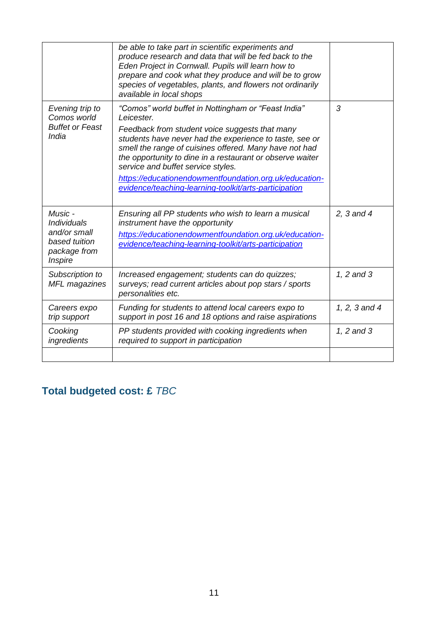|                                                                                           | be able to take part in scientific experiments and<br>produce research and data that will be fed back to the<br>Eden Project in Cornwall. Pupils will learn how to<br>prepare and cook what they produce and will be to grow<br>species of vegetables, plants, and flowers not ordinarily<br>available in local shops                                                                                                                                          |                |
|-------------------------------------------------------------------------------------------|----------------------------------------------------------------------------------------------------------------------------------------------------------------------------------------------------------------------------------------------------------------------------------------------------------------------------------------------------------------------------------------------------------------------------------------------------------------|----------------|
| Evening trip to<br>Comos world<br><b>Buffet or Feast</b><br>India                         | "Comos" world buffet in Nottingham or "Feast India"<br>Leicester.<br>Feedback from student voice suggests that many<br>students have never had the experience to taste, see or<br>smell the range of cuisines offered. Many have not had<br>the opportunity to dine in a restaurant or observe waiter<br>service and buffet service styles.<br>https://educationendowmentfoundation.org.uk/education-<br>evidence/teaching-learning-toolkit/arts-participation | 3              |
| Music -<br><b>Individuals</b><br>and/or small<br>based tuition<br>package from<br>Inspire | Ensuring all PP students who wish to learn a musical<br>instrument have the opportunity<br>https://educationendowmentfoundation.org.uk/education-<br>evidence/teaching-learning-toolkit/arts-participation                                                                                                                                                                                                                                                     | 2, $3$ and $4$ |
| Subscription to<br>MFL magazines                                                          | Increased engagement; students can do quizzes;<br>surveys; read current articles about pop stars / sports<br>personalities etc.                                                                                                                                                                                                                                                                                                                                | 1, 2 and 3     |
| Careers expo<br>trip support                                                              | Funding for students to attend local careers expo to<br>support in post 16 and 18 options and raise aspirations                                                                                                                                                                                                                                                                                                                                                | 1, 2, 3 and 4  |
| Cooking<br>ingredients                                                                    | PP students provided with cooking ingredients when<br>required to support in participation                                                                                                                                                                                                                                                                                                                                                                     | 1, 2 and 3     |
|                                                                                           |                                                                                                                                                                                                                                                                                                                                                                                                                                                                |                |

# **Total budgeted cost: £** *TBC*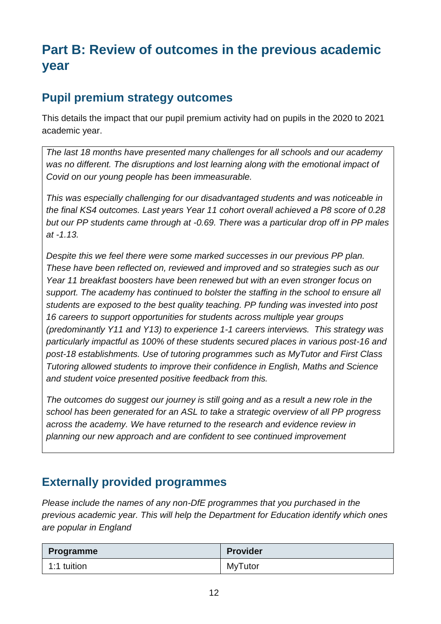# **Part B: Review of outcomes in the previous academic year**

#### **Pupil premium strategy outcomes**

This details the impact that our pupil premium activity had on pupils in the 2020 to 2021 academic year.

*The last 18 months have presented many challenges for all schools and our academy*  was no different. The disruptions and lost learning along with the emotional impact of *Covid on our young people has been immeasurable.* 

*This was especially challenging for our disadvantaged students and was noticeable in the final KS4 outcomes. Last years Year 11 cohort overall achieved a P8 score of 0.28 but our PP students came through at -0.69. There was a particular drop off in PP males at -1.13.* 

*Despite this we feel there were some marked successes in our previous PP plan. These have been reflected on, reviewed and improved and so strategies such as our Year 11 breakfast boosters have been renewed but with an even stronger focus on support. The academy has continued to bolster the staffing in the school to ensure all students are exposed to the best quality teaching. PP funding was invested into post 16 careers to support opportunities for students across multiple year groups (predominantly Y11 and Y13) to experience 1-1 careers interviews. This strategy was particularly impactful as 100% of these students secured places in various post-16 and post-18 establishments. Use of tutoring programmes such as MyTutor and First Class Tutoring allowed students to improve their confidence in English, Maths and Science and student voice presented positive feedback from this.* 

*The outcomes do suggest our journey is still going and as a result a new role in the school has been generated for an ASL to take a strategic overview of all PP progress across the academy. We have returned to the research and evidence review in planning our new approach and are confident to see continued improvement*

### **Externally provided programmes**

*Please include the names of any non-DfE programmes that you purchased in the previous academic year. This will help the Department for Education identify which ones are popular in England*

| Programme   | <b>Provider</b> |
|-------------|-----------------|
| 1:1 tuition | <b>MyTutor</b>  |